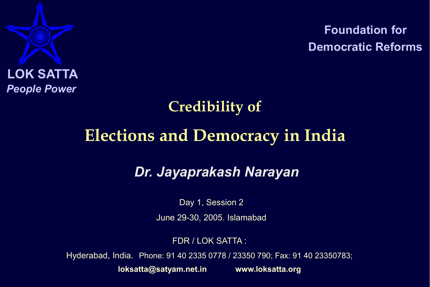

Foundation for Democratic Reforms

## Credibility of

# Elections and Democracy in India

## *Dr. Jayaprakash Narayan*

Day 1, Session 2

June 29-30, 2005. Islamabad

FDR / LOK SATTA :

Hyderabad, India. Phone: 91 40 2335 0778 / 23350 790; Fax: 91 40 23350783;

loksatta@satyam.net.in www.loksatta.org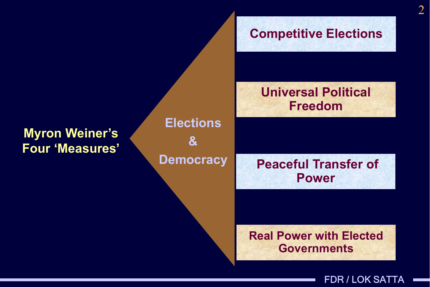## Peaceful Transfer of Power Universal Political Freedom Competitive Elections **Elections**  $\mathbf{\alpha}$ **Democracy** Myron Weiner's Four 'Measures'

### Real Power with Elected **Governments**

FDR / LOK SATTA

2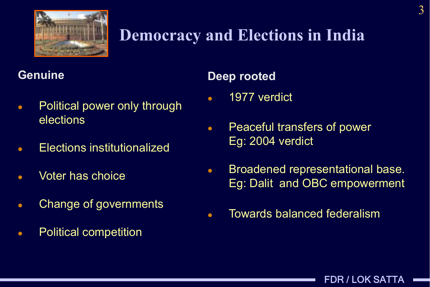

# Democracy and Elections in India

### **Genuine**

- Political power only through elections
- Elections institutionalized
- Voter has choice
- **Change of governments**
- Political competition

### Deep rooted

- 1977 verdict
- Peaceful transfers of power Eg: 2004 verdict
- Broadened representational base. Eg: Dalit and OBC empowerment

FDR / LOK SATTA

Towards balanced federalism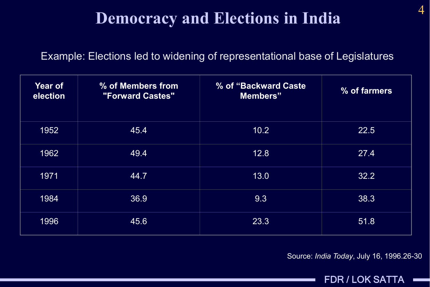## Democracy and Elections in India

#### Example: Elections led to widening of representational base of Legislatures

| <b>Year of</b><br>election | % of Members from<br><b>"Forward Castes"</b> | % of "Backward Caste"<br>Members" | % of farmers |
|----------------------------|----------------------------------------------|-----------------------------------|--------------|
| 1952                       | 45.4                                         | 10.2                              | 22.5         |
| 1962                       | 49.4                                         | 12.8                              | 27.4         |
| 1971                       | 44.7                                         | 13.0                              | 32.2         |
| 1984                       | 36.9                                         | 9.3                               | 38.3         |
| 1996                       | 45.6                                         | 23.3                              | 51.8         |

Source: *India Today*, July 16, 1996.26-30

FDR / LOK SATTA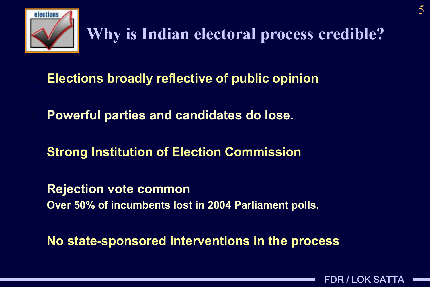

# Why is Indian electoral process credible?

**Elections broadly reflective of public opinion** 

• Powerful parties and candidates do lose.

**Strong Institution of Election Commission** 

Rejection vote common • Over 50% of incumbents lost in 2004 Parliament polls.

No state-sponsored interventions in the process

FDR / LOK SATTA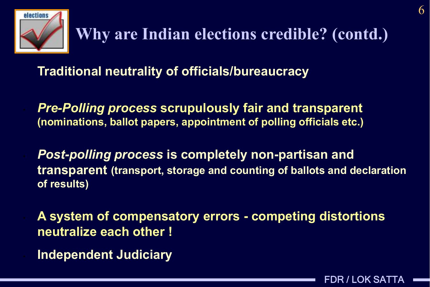

Traditional neutrality of officials/bureaucracy

• *Pre-Polling process* scrupulously fair and transparent (nominations, ballot papers, appointment of polling officials etc.)

• *Post-polling process* is completely non-partisan and transparent (transport, storage and counting of ballots and declaration of results)

• A system of compensatory errors - competing distortions neutralize each other !

• Independent Judiciary

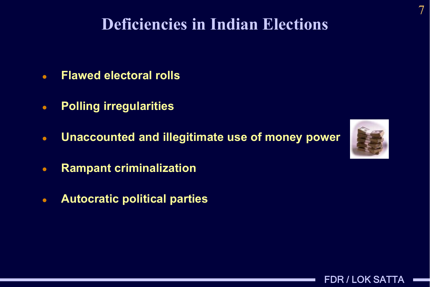## Deficiencies in Indian Elections

- Flawed electoral rolls
- Polling irregularities
- Unaccounted and illegitimate use of money power
- Rampant criminalization
- Autocratic political parties



FDR / LOK SATTA



7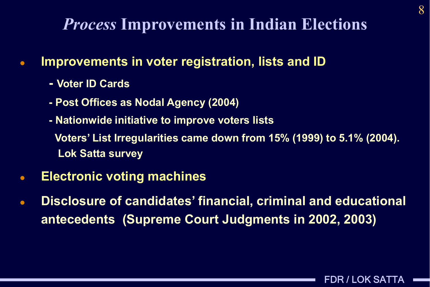## *Process* Improvements in Indian Elections

- Improvements in voter registration, lists and ID
	- Voter ID Cards
	- Post Offices as Nodal Agency (2004)
	- Nationwide initiative to improve voters lists

Voters' List Irregularities came down from 15% (1999) to 5.1% (2004). Lok Satta survey

- Electronic voting machines
- Disclosure of candidates' financial, criminal and educational antecedents (Supreme Court Judgments in 2002, 2003)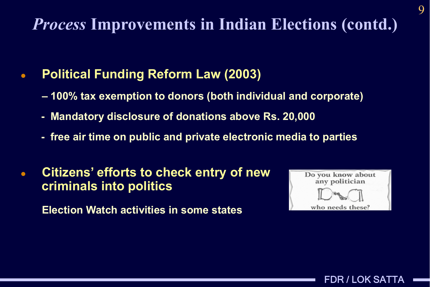# *Process* Improvements in Indian Elections (contd.)

## Political Funding Reform Law (2003)

- 100% tax exemption to donors (both individual and corporate)
- Mandatory disclosure of donations above Rs. 20,000
- free air time on public and private electronic media to parties
- Citizens' efforts to check entry of new criminals into politics

Election Watch activities in some states



FDR / LOK SATTA

9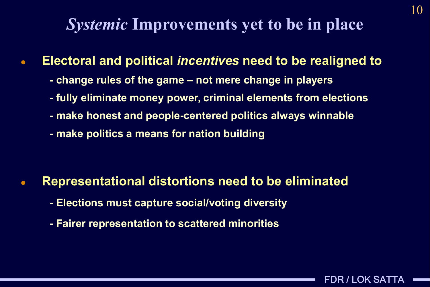## *Systemic* Improvements yet to be in place

Electoral and political *incentives* need to be realigned to

- change rules of the game not mere change in players
- fully eliminate money power, criminal elements from elections
- make honest and people-centered politics always winnable
- make politics a means for nation building

### Representational distortions need to be eliminated

- Elections must capture social/voting diversity
- Fairer representation to scattered minorities

FDR / LOK SATTA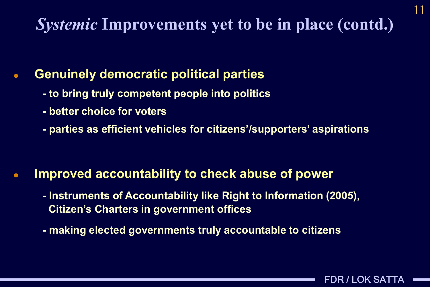# *Systemic* Improvements yet to be in place (contd.)

## Genuinely democratic political parties

- to bring truly competent people into politics
- better choice for voters
- parties as efficient vehicles for citizens'/supporters' aspirations

### Improved accountability to check abuse of power

- Instruments of Accountability like Right to Information (2005), Citizen's Charters in government offices
- making elected governments truly accountable to citizens